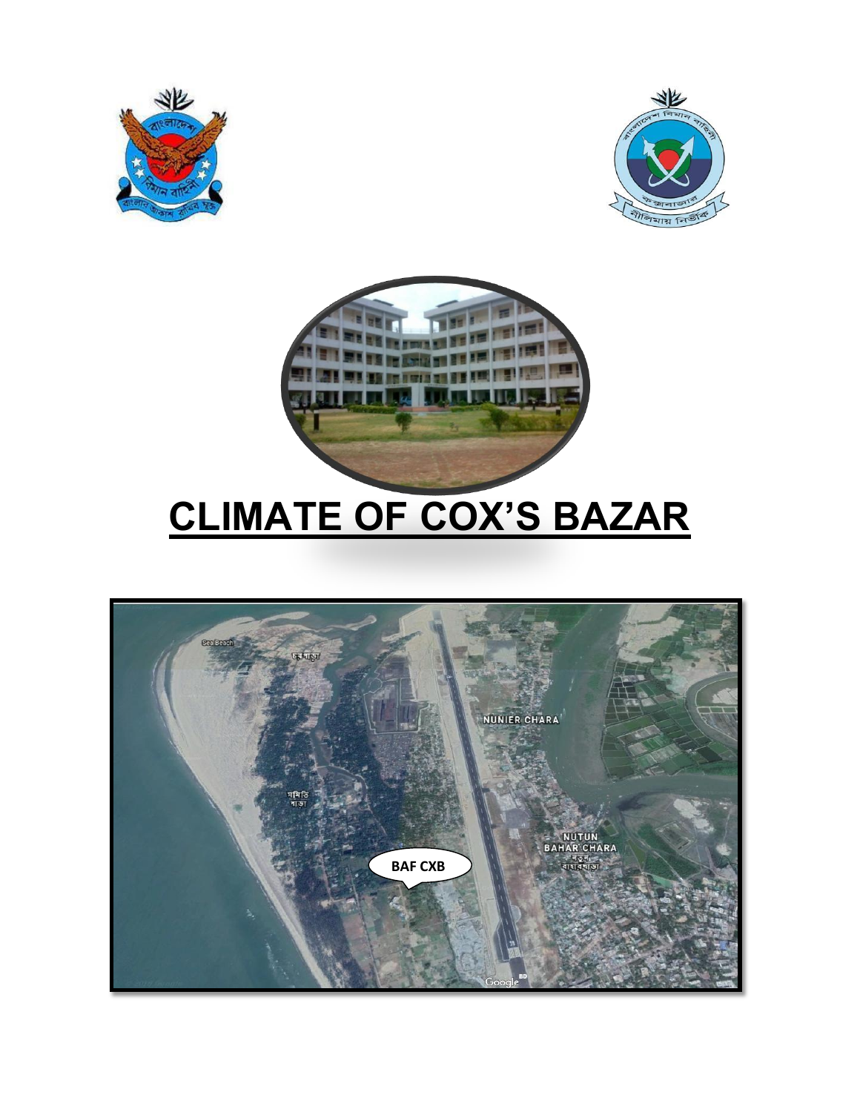





# **CLIMATE OF COX'S BAZAR**

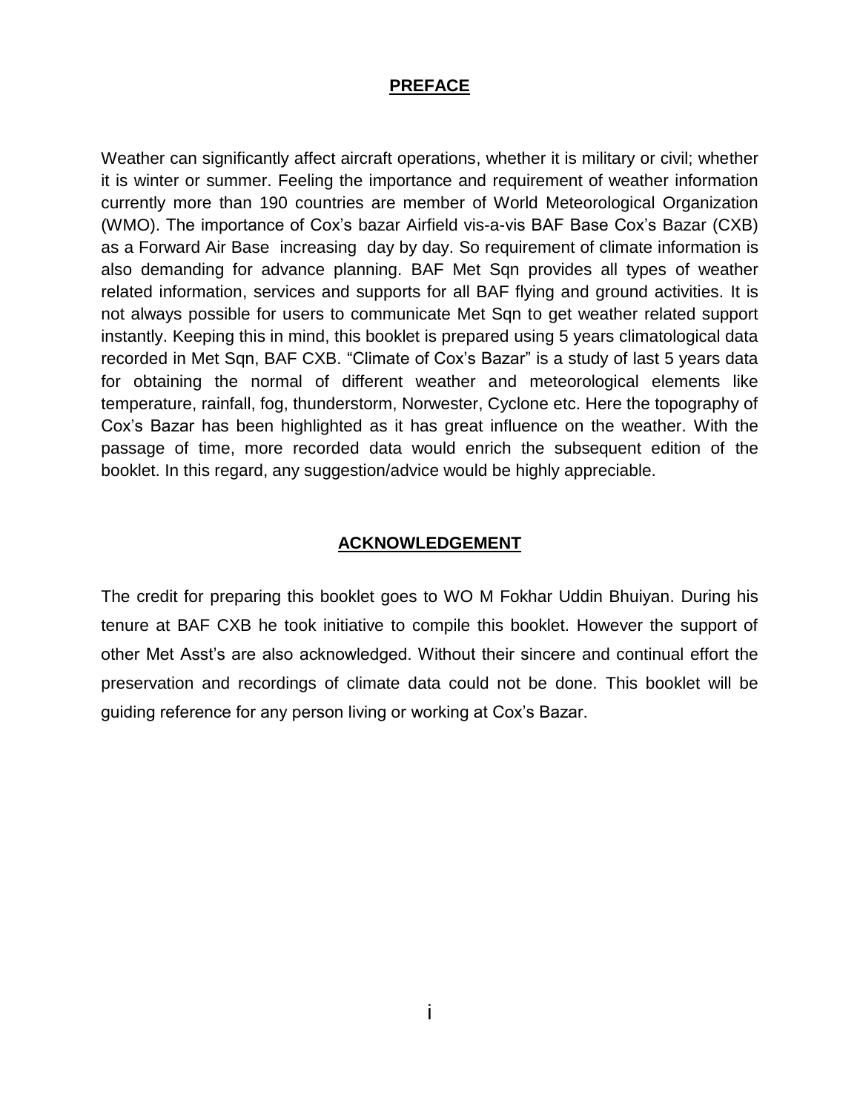#### **PREFACE**

Weather can significantly affect aircraft operations, whether it is military or civil; whether it is winter or summer. Feeling the importance and requirement of weather information currently more than 190 countries are member of World Meteorological Organization (WMO). The importance of Cox's bazar Airfield vis-a-vis BAF Base Cox's Bazar (CXB) as a Forward Air Base increasing day by day. So requirement of climate information is also demanding for advance planning. BAF Met Sqn provides all types of weather related information, services and supports for all BAF flying and ground activities. It is not always possible for users to communicate Met Sqn to get weather related support instantly. Keeping this in mind, this booklet is prepared using 5 years climatological data recorded in Met Sqn, BAF CXB. "Climate of Cox's Bazar" is a study of last 5 years data for obtaining the normal of different weather and meteorological elements like temperature, rainfall, fog, thunderstorm, Norwester, Cyclone etc. Here the topography of Cox's Bazar has been highlighted as it has great influence on the weather. With the passage of time, more recorded data would enrich the subsequent edition of the booklet. In this regard, any suggestion/advice would be highly appreciable.

#### **ACKNOWLEDGEMENT**

The credit for preparing this booklet goes to WO M Fokhar Uddin Bhuiyan. During his tenure at BAF CXB he took initiative to compile this booklet. However the support of other Met Asst's are also acknowledged. Without their sincere and continual effort the preservation and recordings of climate data could not be done. This booklet will be guiding reference for any person living or working at Cox's Bazar.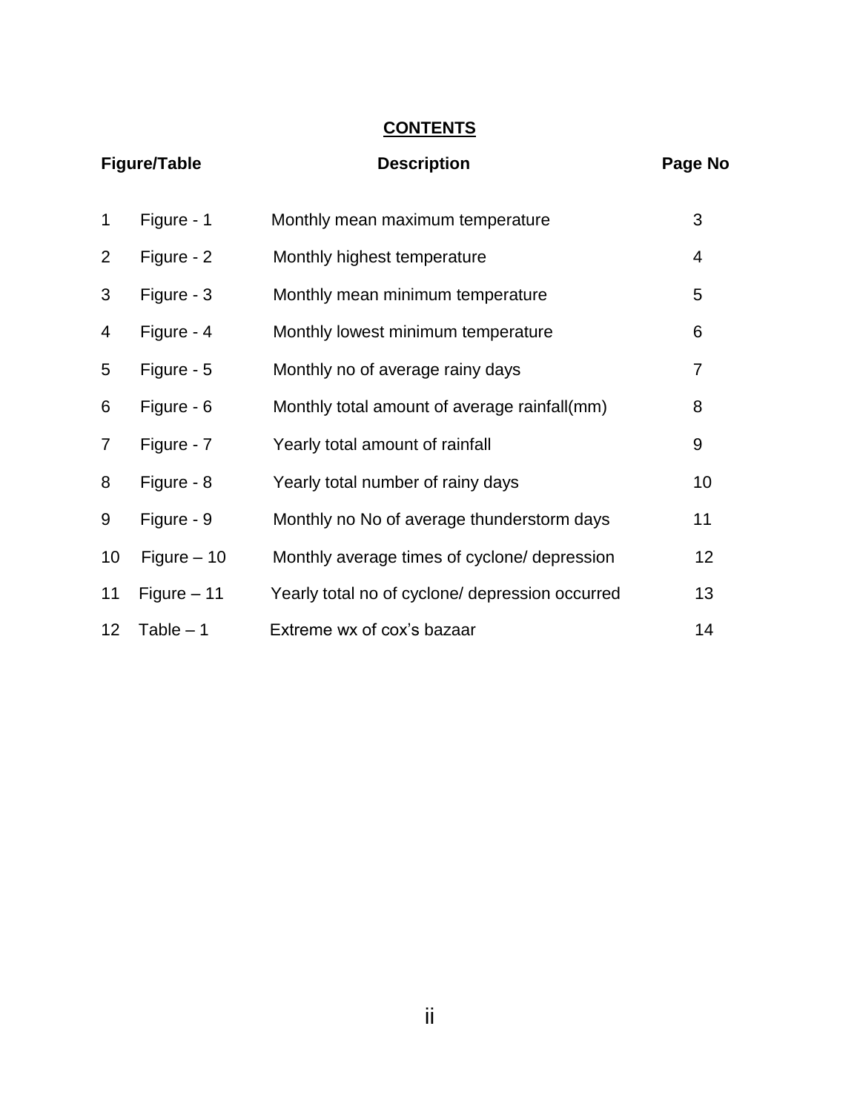# **CONTENTS**

| <b>Figure/Table</b> |              | <b>Description</b>                              | Page No |
|---------------------|--------------|-------------------------------------------------|---------|
| 1                   | Figure - 1   | Monthly mean maximum temperature                | 3       |
| 2                   | Figure - 2   | Monthly highest temperature                     | 4       |
| 3                   | Figure - 3   | Monthly mean minimum temperature                | 5       |
| 4                   | Figure - 4   | Monthly lowest minimum temperature              | 6       |
| 5                   | Figure - 5   | Monthly no of average rainy days                | 7       |
| 6                   | Figure - 6   | Monthly total amount of average rainfall(mm)    | 8       |
| 7                   | Figure - 7   | Yearly total amount of rainfall                 | 9       |
| 8                   | Figure - 8   | Yearly total number of rainy days               | 10      |
| 9                   | Figure - 9   | Monthly no No of average thunderstorm days      | 11      |
| 10                  | Figure $-10$ | Monthly average times of cyclone/ depression    | 12      |
| 11                  | Figure $-11$ | Yearly total no of cyclone/ depression occurred | 13      |
| 12 <sub>2</sub>     | Table $-1$   | Extreme wx of cox's bazaar                      | 14      |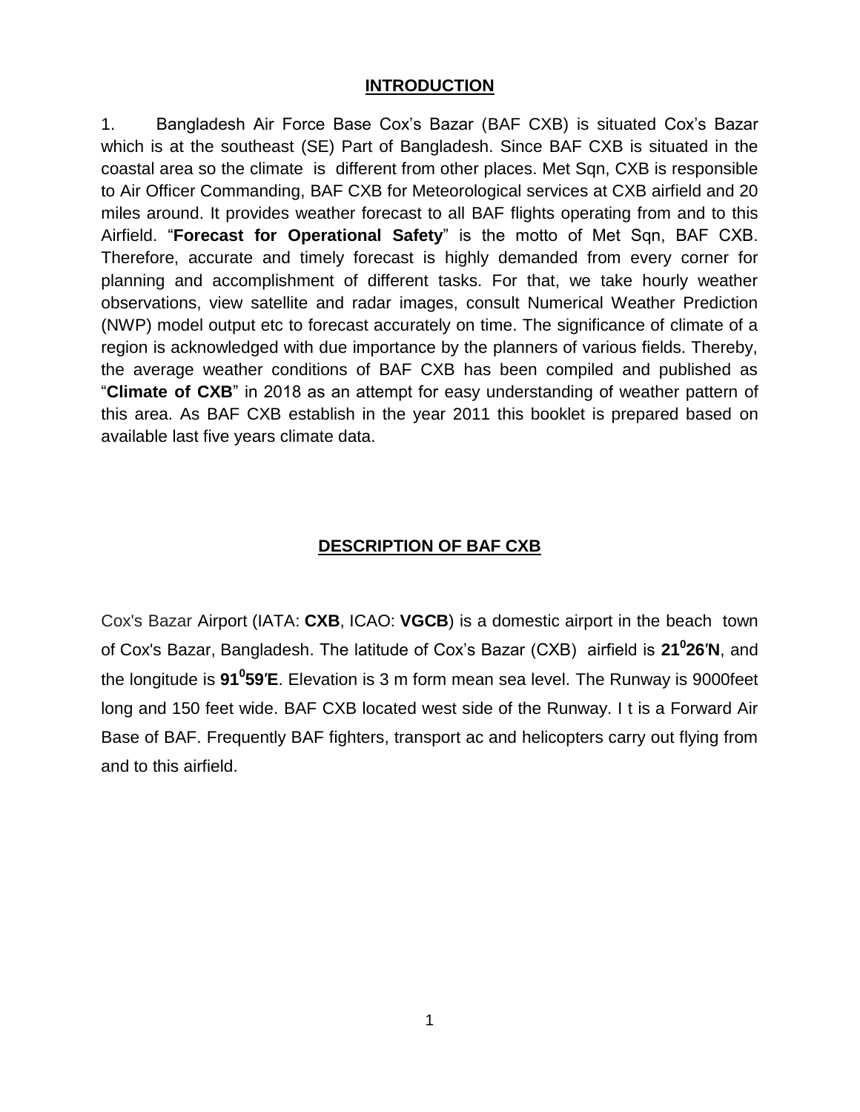#### **INTRODUCTION**

1. Bangladesh Air Force Base Cox's Bazar (BAF CXB) is situated Cox's Bazar which is at the southeast (SE) Part of Bangladesh. Since BAF CXB is situated in the coastal area so the climate is different from other places. Met Sqn, CXB is responsible to Air Officer Commanding, BAF CXB for Meteorological services at CXB airfield and 20 miles around. It provides weather forecast to all BAF flights operating from and to this Airfield. "**Forecast for Operational Safety**" is the motto of Met Sqn, BAF CXB. Therefore, accurate and timely forecast is highly demanded from every corner for planning and accomplishment of different tasks. For that, we take hourly weather observations, view satellite and radar images, consult Numerical Weather Prediction (NWP) model output etc to forecast accurately on time. The significance of climate of a region is acknowledged with due importance by the planners of various fields. Thereby, the average weather conditions of BAF CXB has been compiled and published as "**Climate of CXB**" in 2018 as an attempt for easy understanding of weather pattern of this area. As BAF CXB establish in the year 2011 this booklet is prepared based on available last five years climate data.

#### **DESCRIPTION OF BAF CXB**

Cox's Bazar Airport [\(IATA:](https://en.wikipedia.org/wiki/IATA_airport_code) **CXB**, [ICAO:](https://en.wikipedia.org/wiki/ICAO_airport_code) **VGCB**) is a domestic airport in the beach town of [Cox's Bazar,](https://en.wikipedia.org/wiki/Cox%27s_Bazar) [Bangladesh.](https://en.wikipedia.org/wiki/Bangladesh) The latitude of Cox's Bazar (CXB) airfield is **21<sup>0</sup> 26**′**N**, and the longitude is **91<sup>0</sup> 59**′**E**. Elevation is 3 m form mean sea level. The Runway is 9000feet long and 150 feet wide. BAF CXB located west side of the Runway. I t is a Forward Air Base of BAF. Frequently BAF fighters, transport ac and helicopters carry out flying from and to this airfield.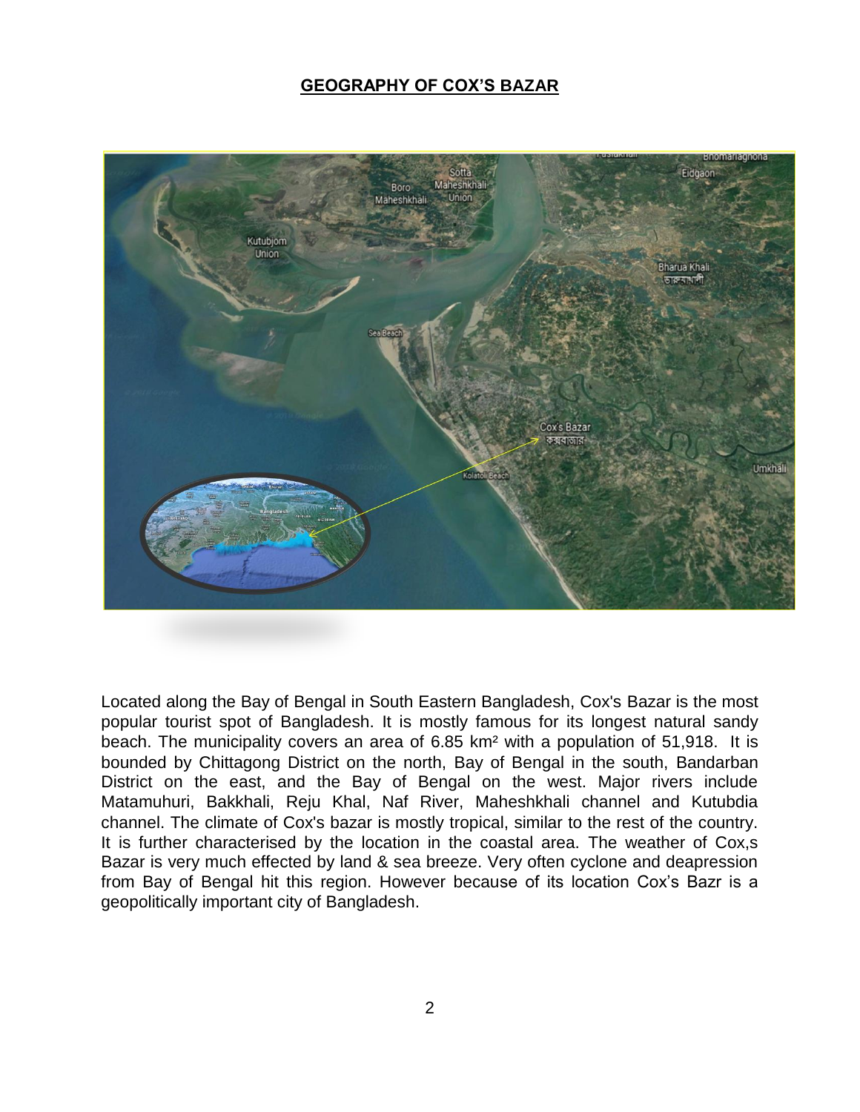#### **GEOGRAPHY OF COX'S BAZAR**



Located along the Bay of Bengal in South Eastern Bangladesh, Cox's Bazar is the most popular tourist spot of Bangladesh. It is mostly famous for its longest natural sandy beach. The municipality covers an area of 6.85 km² with a population of 51,918. It is bounded by Chittagong District on the north, Bay of Bengal in the south, Bandarban District on the east, and the Bay of Bengal on the west. Major rivers include Matamuhuri, Bakkhali, Reju Khal, Naf River, Maheshkhali channel and Kutubdia channel. The climate of Cox's bazar is mostly tropical, similar to the rest of the country. It is further characterised by the location in the coastal area. The weather of Cox,s Bazar is very much effected by land & sea breeze. Very often cyclone and deapression from Bay of Bengal hit this region. However because of its location Cox's Bazr is a geopolitically important city of Bangladesh.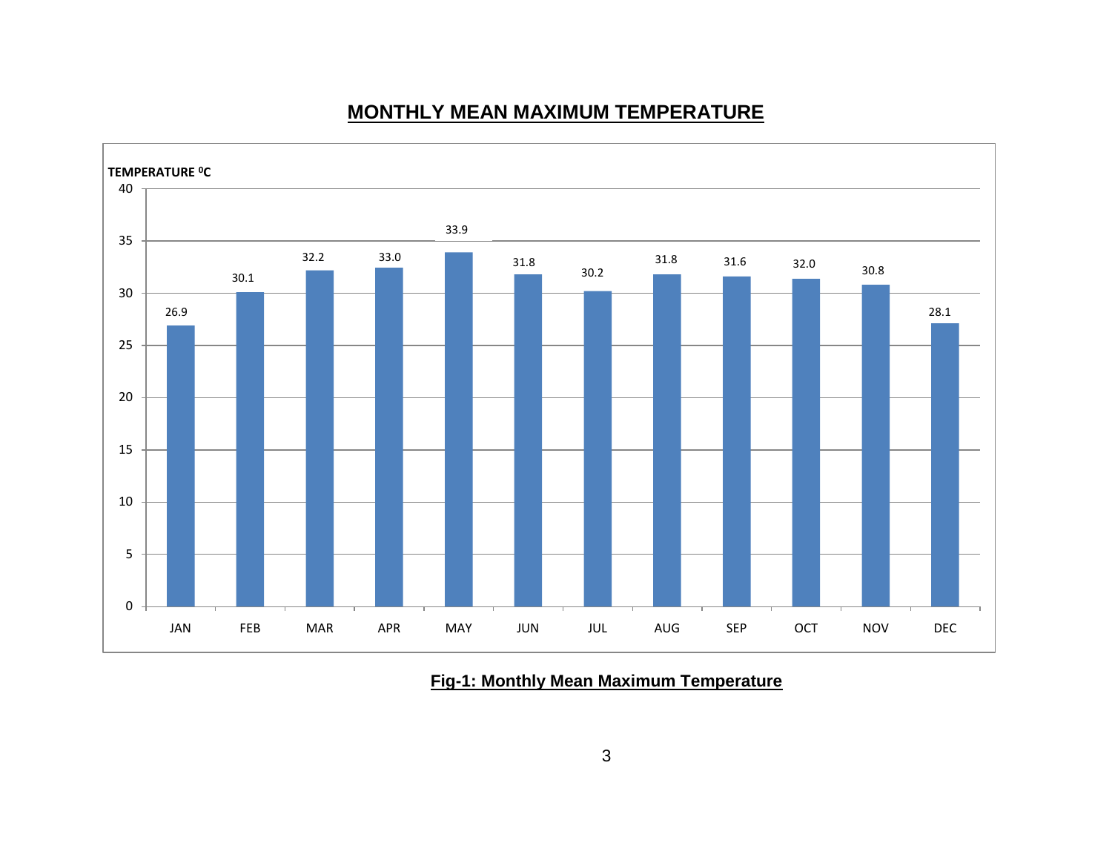# **MONTHLY MEAN MAXIMUM TEMPERATURE**



**Fig-1: Monthly Mean Maximum Temperature**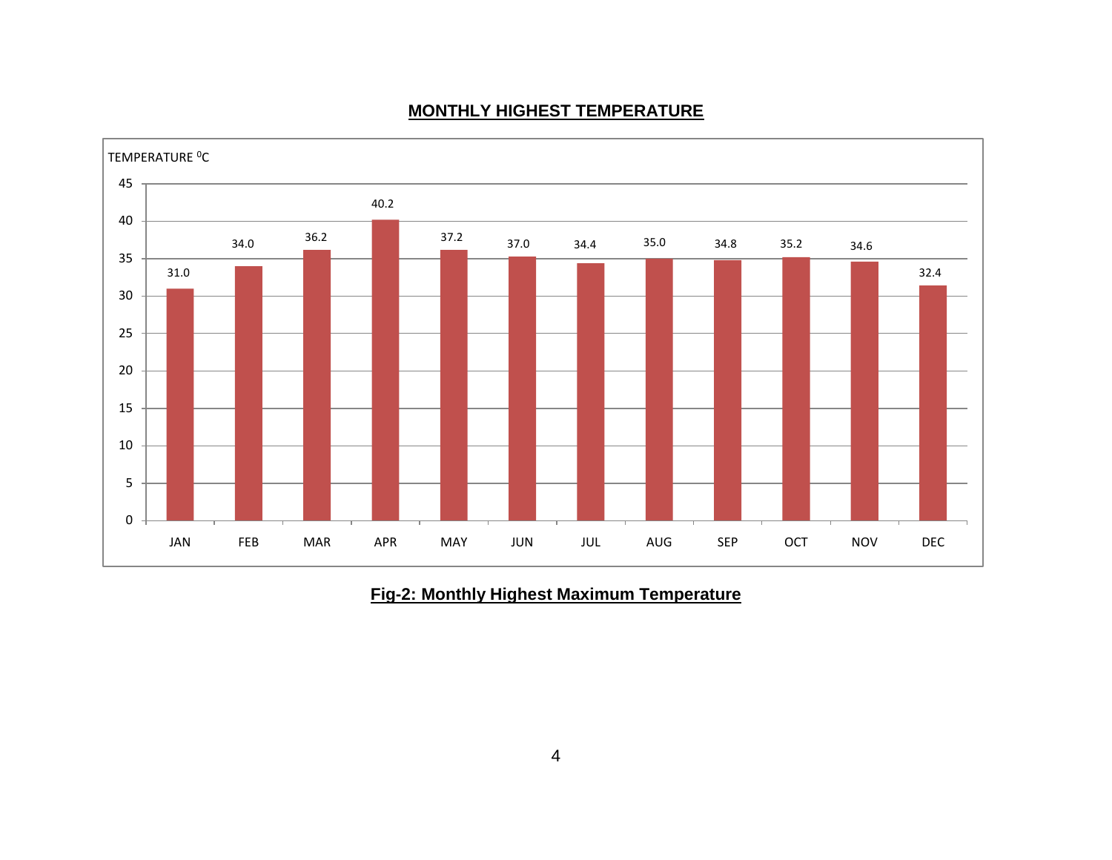

#### **MONTHLY HIGHEST TEMPERATURE**

**Fig-2: Monthly Highest Maximum Temperature**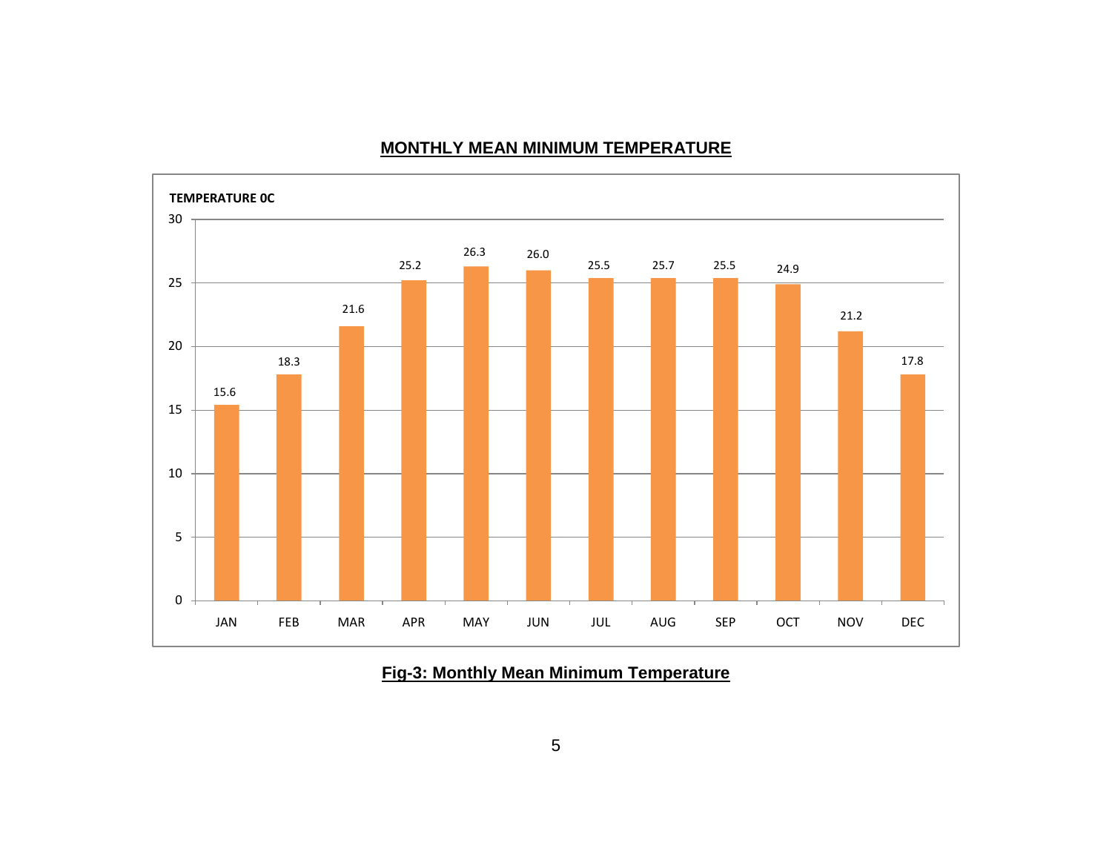

#### **MONTHLY MEAN MINIMUM TEMPERATURE**

**Fig-3: Monthly Mean Minimum Temperature**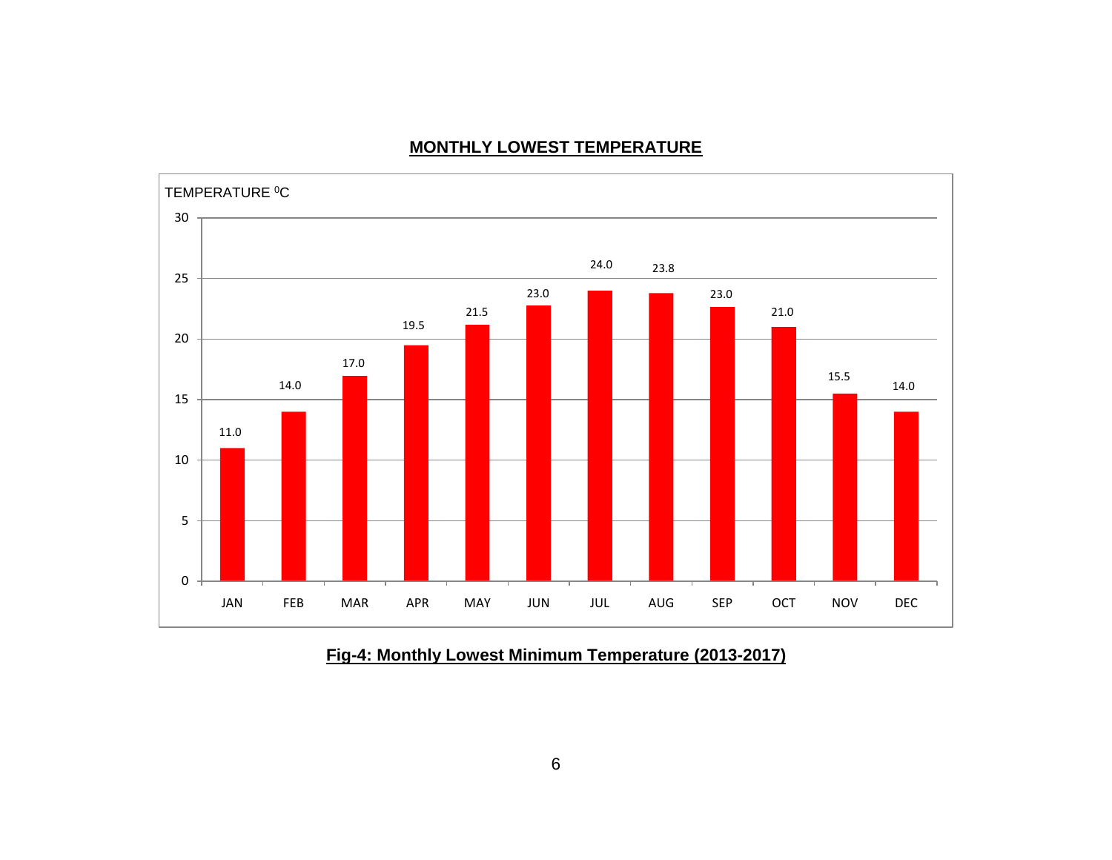#### **MONTHLY LOWEST TEMPERATURE**



# **Fig-4: Monthly Lowest Minimum Temperature (2013-2017)**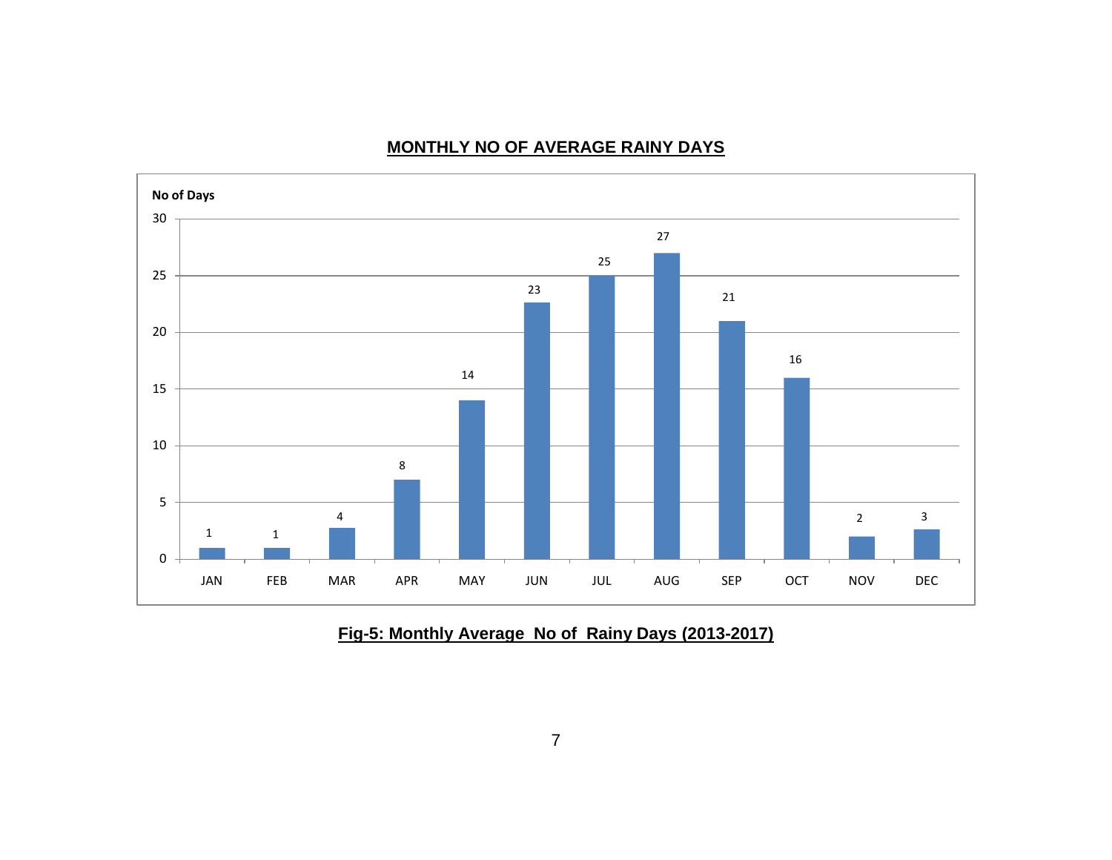## **MONTHLY NO OF AVERAGE RAINY DAYS**



## **Fig-5: Monthly Average No of Rainy Days (2013-2017)**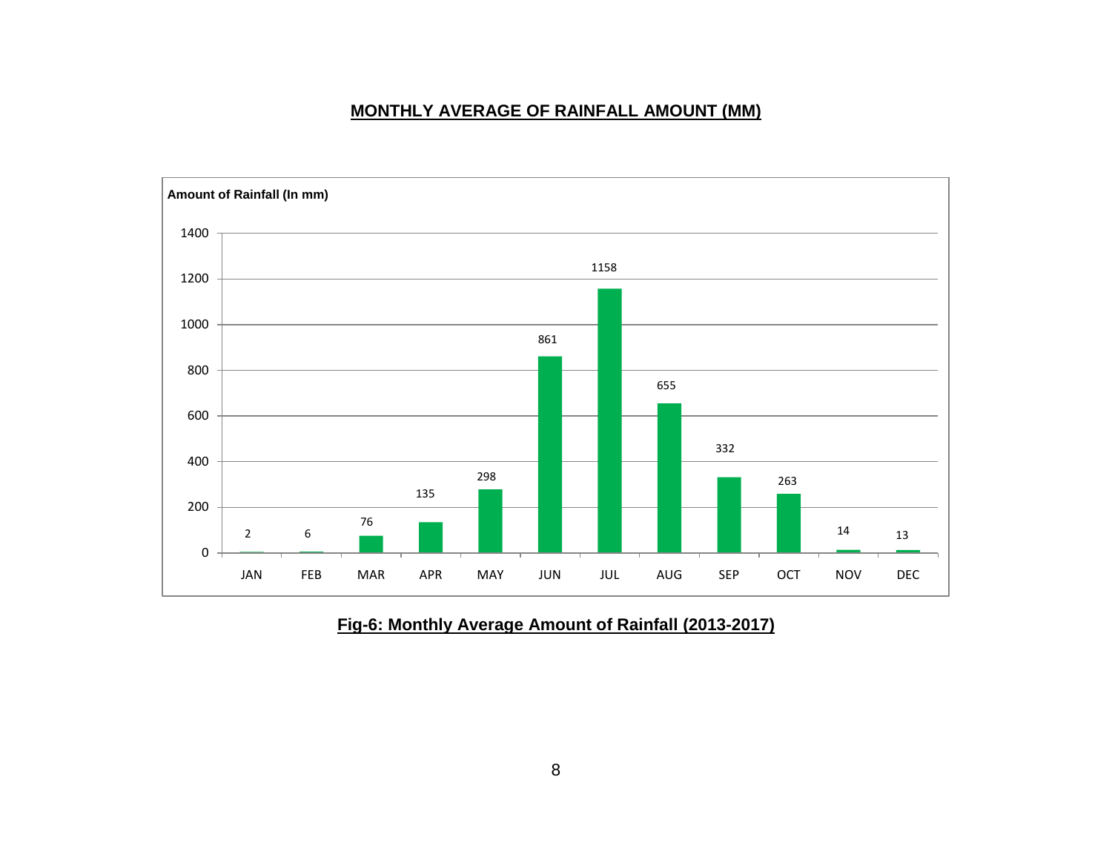#### **MONTHLY AVERAGE OF RAINFALL AMOUNT (MM)**



#### **Fig-6: Monthly Average Amount of Rainfall (2013-2017)**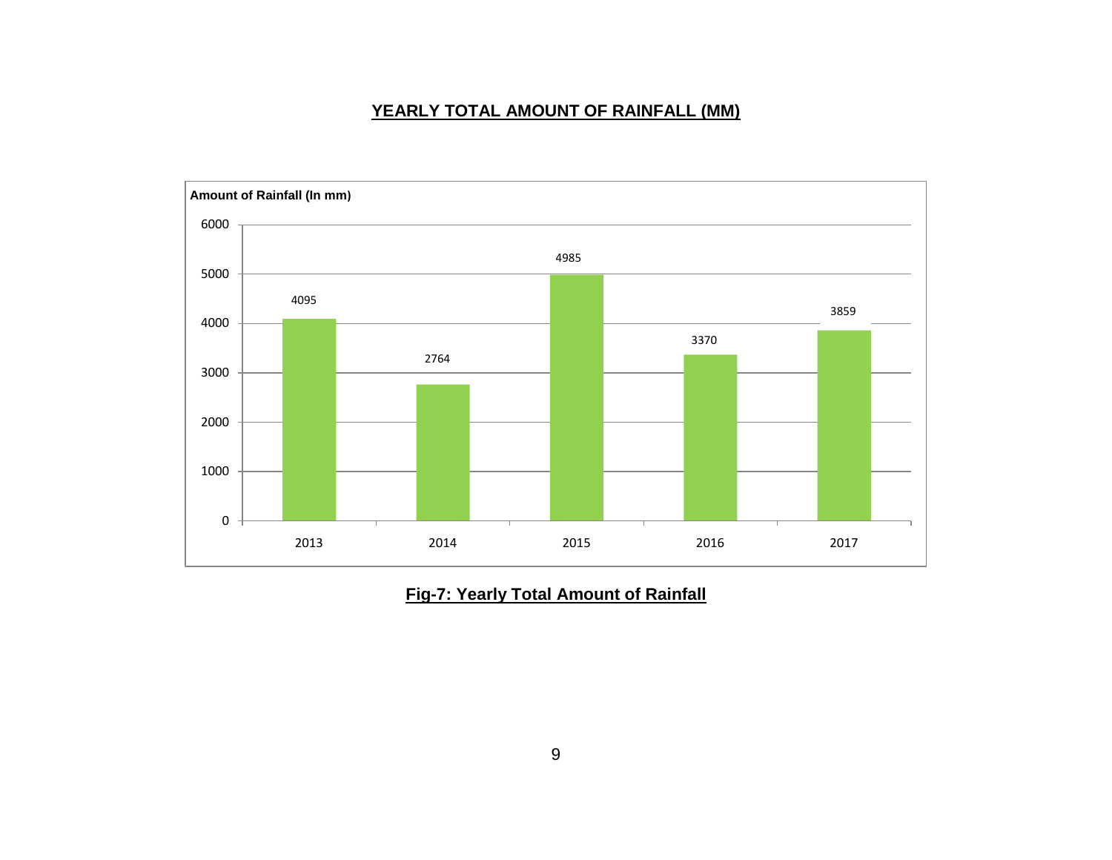#### **YEARLY TOTAL AMOUNT OF RAINFALL (MM)**



**Fig-7: Yearly Total Amount of Rainfall**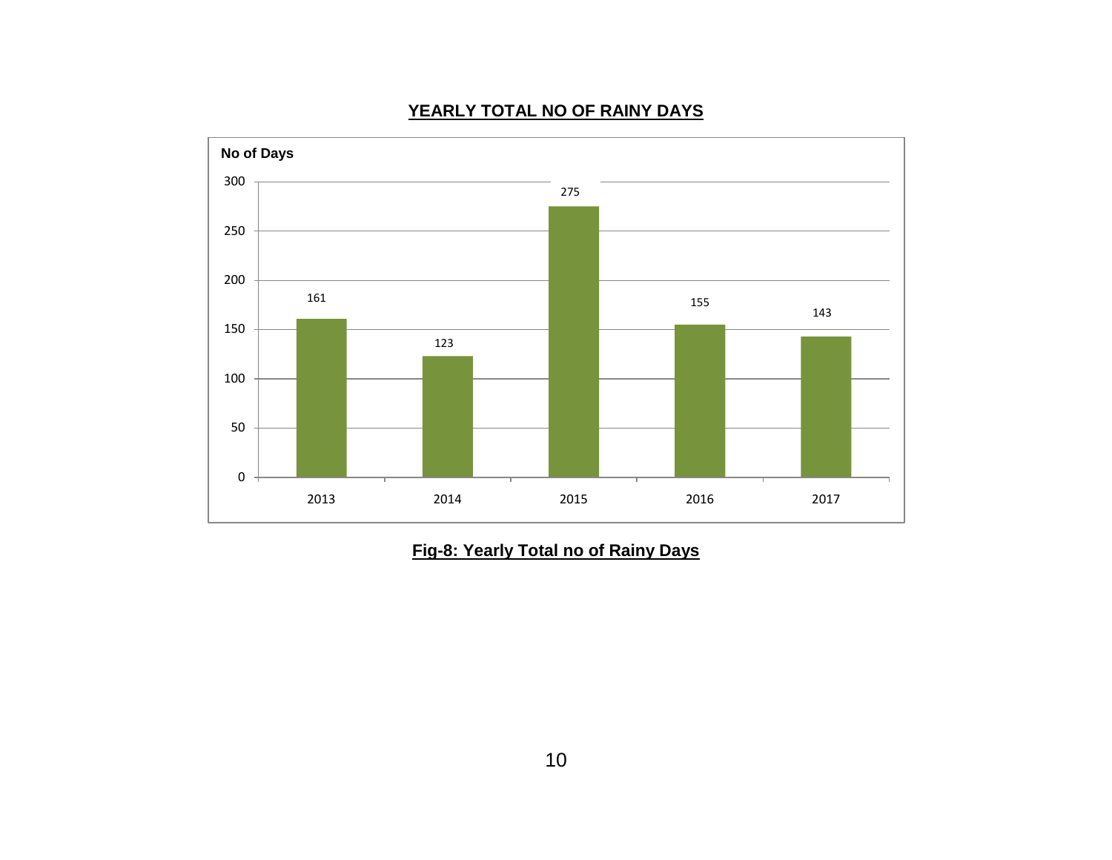

## **YEARLY TOTAL NO OF RAINY DAYS**

**Fig-8: Yearly Total no of Rainy Days**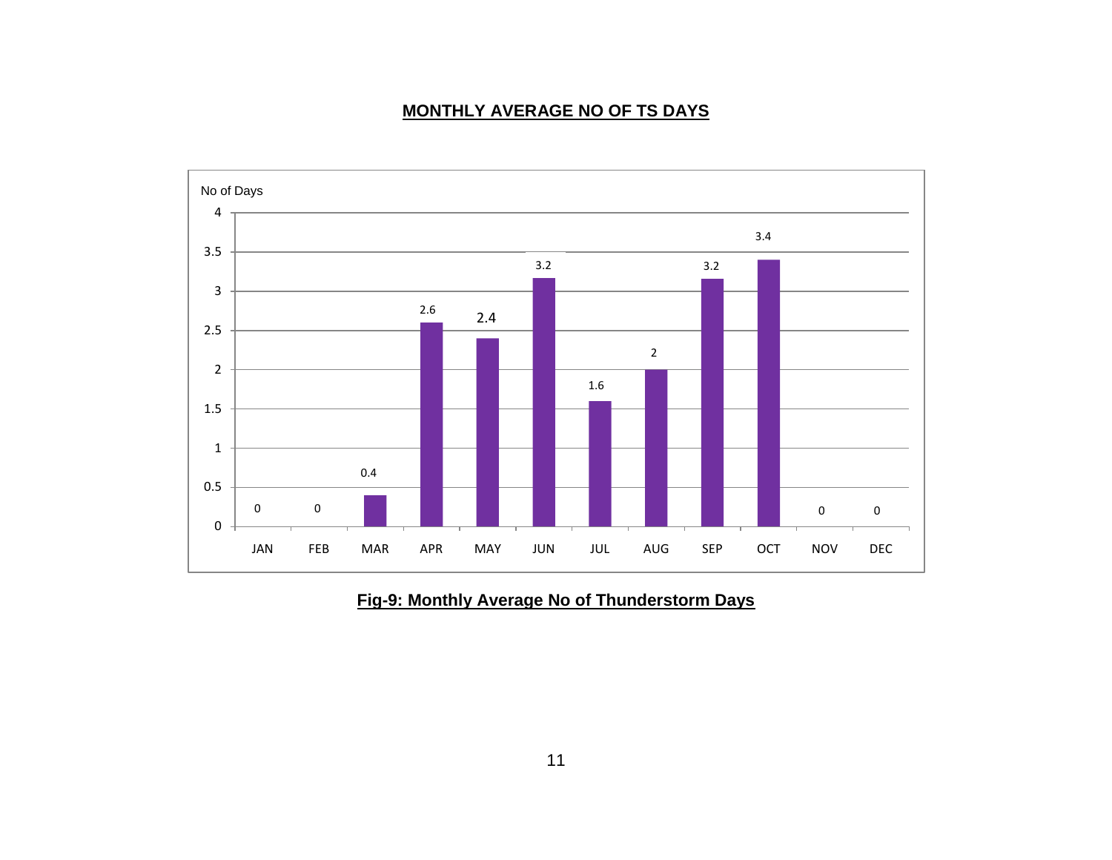## **MONTHLY AVERAGE NO OF TS DAYS**



## **Fig-9: Monthly Average No of Thunderstorm Days**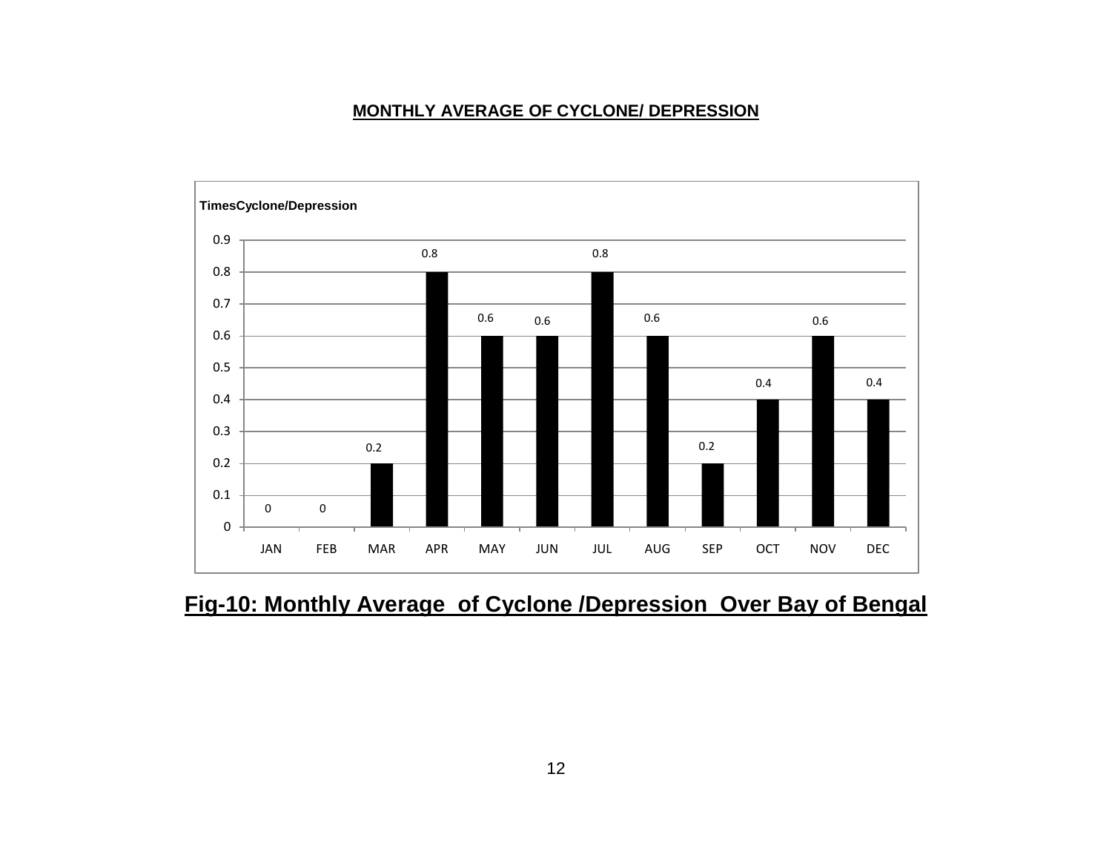#### **MONTHLY AVERAGE OF CYCLONE/ DEPRESSION**



# **Fig-10: Monthly Average of Cyclone /Depression Over Bay of Bengal**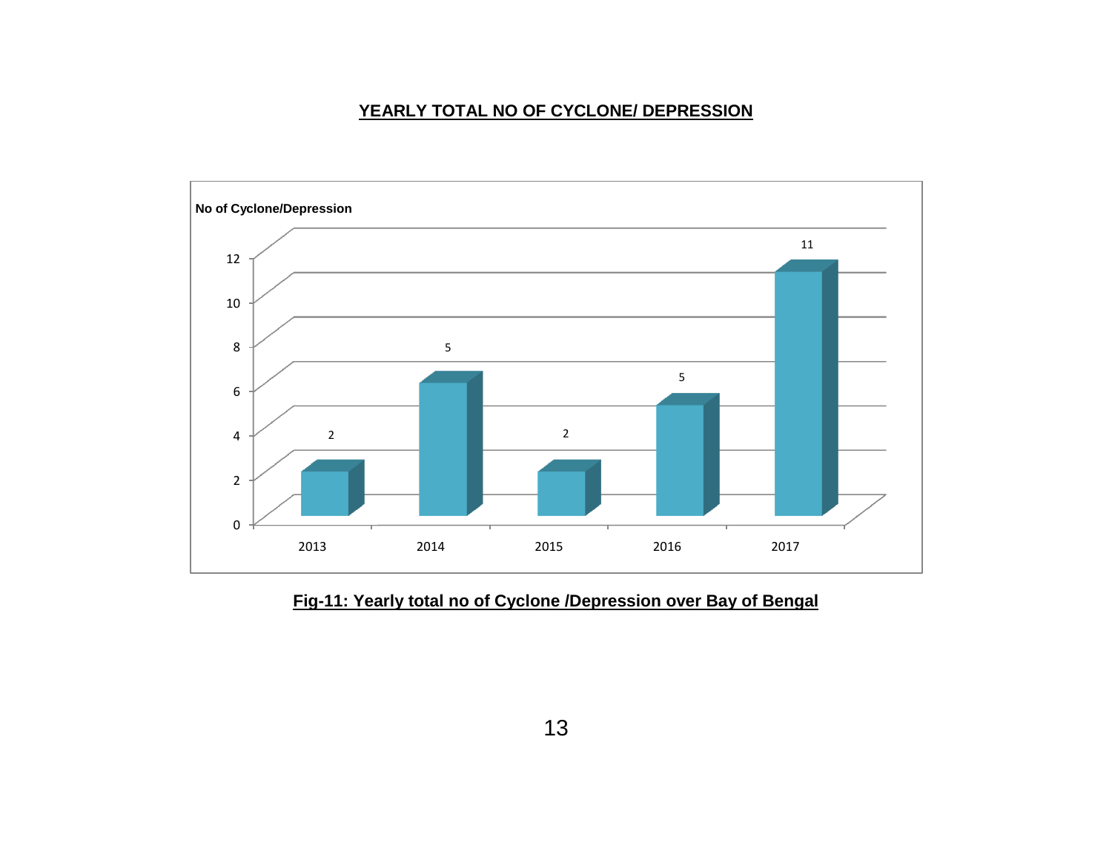## **YEARLY TOTAL NO OF CYCLONE/ DEPRESSION**



## **Fig-11: Yearly total no of Cyclone /Depression over Bay of Bengal**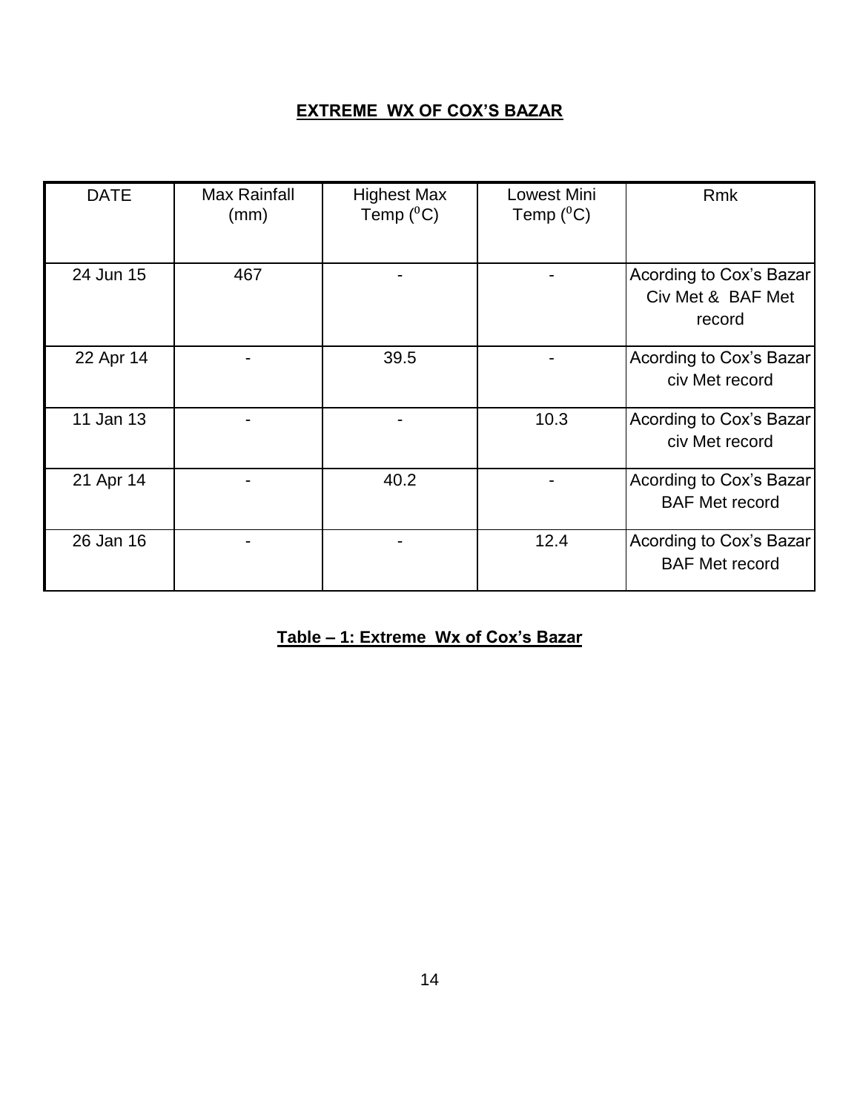#### **EXTREME WX OF COX'S BAZAR**

| <b>DATE</b> | <b>Max Rainfall</b><br>(mm) | <b>Highest Max</b><br>Temp $(^0C)$ | Lowest Mini<br>Temp $(^0C)$ | <b>Rmk</b>                                             |
|-------------|-----------------------------|------------------------------------|-----------------------------|--------------------------------------------------------|
| 24 Jun 15   | 467                         |                                    |                             | Acording to Cox's Bazar<br>Civ Met & BAF Met<br>record |
| 22 Apr 14   |                             | 39.5                               |                             | Acording to Cox's Bazar<br>civ Met record              |
| 11 Jan 13   |                             |                                    | 10.3                        | Acording to Cox's Bazar<br>civ Met record              |
| 21 Apr 14   |                             | 40.2                               |                             | Acording to Cox's Bazar<br><b>BAF Met record</b>       |
| 26 Jan 16   |                             |                                    | 12.4                        | Acording to Cox's Bazar<br><b>BAF Met record</b>       |

# **Table – 1: Extreme Wx of Cox's Bazar**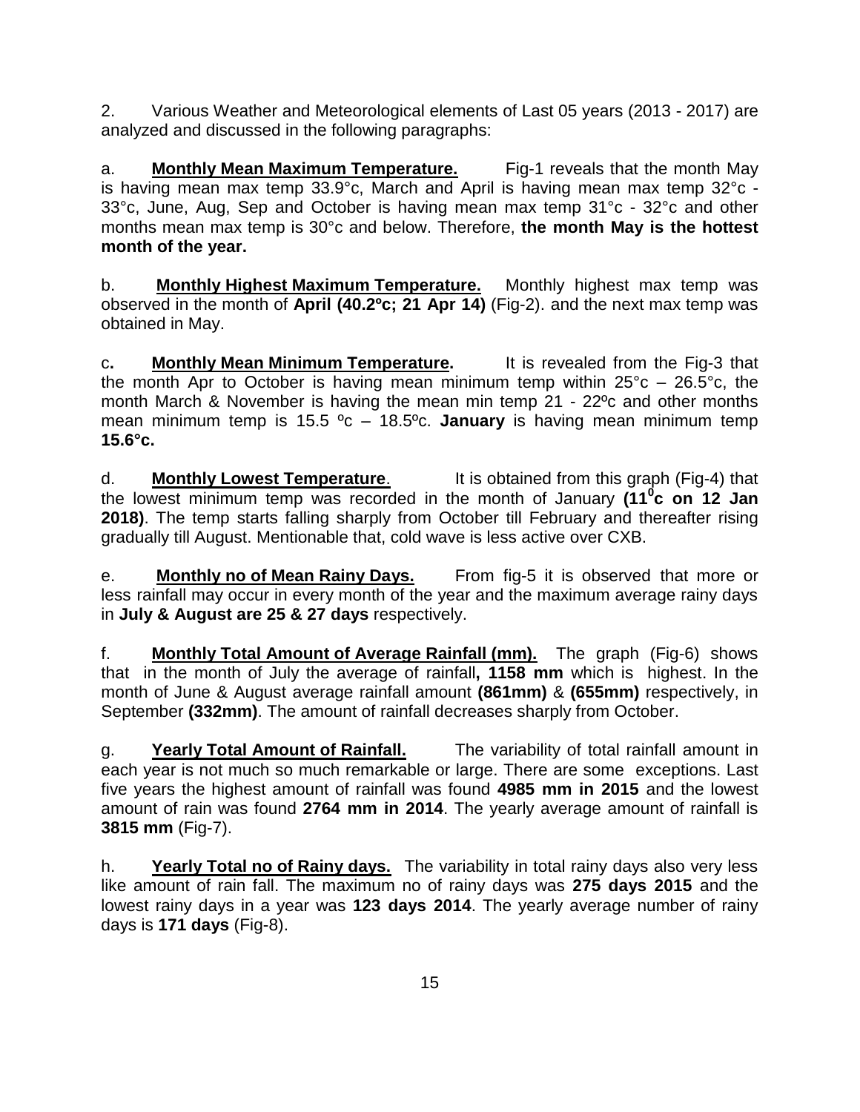2. Various Weather and Meteorological elements of Last 05 years (2013 - 2017) are analyzed and discussed in the following paragraphs:

a. **Monthly Mean Maximum Temperature.** Fig-1 reveals that the month May is having mean max temp 33.9°c, March and April is having mean max temp 32°c - 33°c, June, Aug, Sep and October is having mean max temp 31°c - 32°c and other months mean max temp is 30°c and below. Therefore, **the month May is the hottest month of the year.**

b. **Monthly Highest Maximum Temperature.** Monthly highest max temp was observed in the month of **April (40.2ºc; 21 Apr 14)** (Fig-2). and the next max temp was obtained in May.

c**. Monthly Mean Minimum Temperature.** It is revealed from the Fig-3 that the month Apr to October is having mean minimum temp within  $25^{\circ}$ c –  $26.5^{\circ}$ c, the month March & November is having the mean min temp 21 - 22ºc and other months mean minimum temp is 15.5 ºc – 18.5ºc. **January** is having mean minimum temp **15.6°c.**

d. **Monthly Lowest Temperature**. It is obtained from this graph (Fig-4) that the lowest minimum temp was recorded in the month of January **(11<sup>0</sup> c on 12 Jan 2018)**. The temp starts falling sharply from October till February and thereafter rising gradually till August. Mentionable that, cold wave is less active over CXB.

e. **Monthly no of Mean Rainy Days.** From fig-5 it is observed that more or less rainfall may occur in every month of the year and the maximum average rainy days in **July & August are 25 & 27 days** respectively.

f. **Monthly Total Amount of Average Rainfall (mm).** The graph (Fig-6) shows that in the month of July the average of rainfall**, 1158 mm** which is highest. In the month of June & August average rainfall amount **(861mm)** & **(655mm)** respectively, in September **(332mm)**. The amount of rainfall decreases sharply from October.

g. **Yearly Total Amount of Rainfall.** The variability of total rainfall amount in each year is not much so much remarkable or large. There are some exceptions. Last five years the highest amount of rainfall was found **4985 mm in 2015** and the lowest amount of rain was found **2764 mm in 2014**. The yearly average amount of rainfall is **3815 mm** (Fig-7).

h. **Yearly Total no of Rainy days.** The variability in total rainy days also very less like amount of rain fall. The maximum no of rainy days was **275 days 2015** and the lowest rainy days in a year was **123 days 2014**. The yearly average number of rainy days is **171 days** (Fig-8).